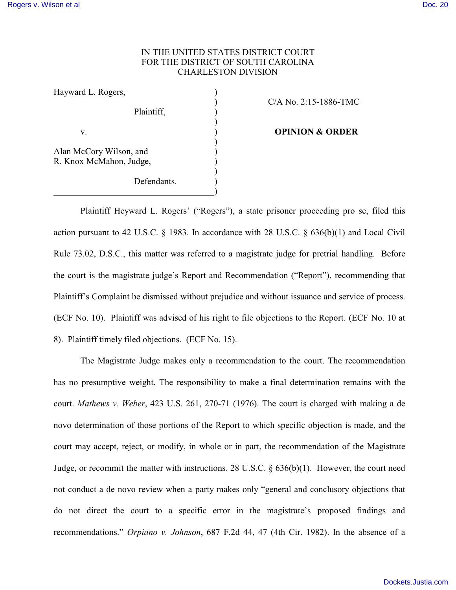## IN THE UNITED STATES DISTRICT COURT FOR THE DISTRICT OF SOUTH CAROLINA CHARLESTON DIVISION

| Hayward L. Rogers,                                 |  |
|----------------------------------------------------|--|
| Plaintiff,                                         |  |
| V.                                                 |  |
| Alan McCory Wilson, and<br>R. Knox McMahon, Judge, |  |
| Defendants.                                        |  |

) C/A No. 2:15-1886-TMC

**OPINION & ORDER** 

Plaintiff Heyward L. Rogers' ("Rogers"), a state prisoner proceeding pro se, filed this action pursuant to 42 U.S.C. § 1983. In accordance with 28 U.S.C. § 636(b)(1) and Local Civil Rule 73.02, D.S.C., this matter was referred to a magistrate judge for pretrial handling. Before the court is the magistrate judge's Report and Recommendation ("Report"), recommending that Plaintiff's Complaint be dismissed without prejudice and without issuance and service of process. (ECF No. 10). Plaintiff was advised of his right to file objections to the Report. (ECF No. 10 at 8). Plaintiff timely filed objections. (ECF No. 15).

The Magistrate Judge makes only a recommendation to the court. The recommendation has no presumptive weight. The responsibility to make a final determination remains with the court. *Mathews v. Weber*, 423 U.S. 261, 270-71 (1976). The court is charged with making a de novo determination of those portions of the Report to which specific objection is made, and the court may accept, reject, or modify, in whole or in part, the recommendation of the Magistrate Judge, or recommit the matter with instructions. 28 U.S.C. § 636(b)(1). However, the court need not conduct a de novo review when a party makes only "general and conclusory objections that do not direct the court to a specific error in the magistrate's proposed findings and recommendations." *Orpiano v. Johnson*, 687 F.2d 44, 47 (4th Cir. 1982). In the absence of a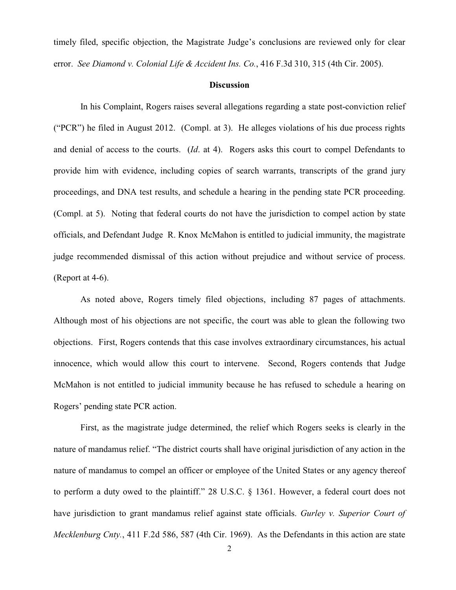timely filed, specific objection, the Magistrate Judge's conclusions are reviewed only for clear error. *See Diamond v. Colonial Life & Accident Ins. Co.*, 416 F.3d 310, 315 (4th Cir. 2005).

## **Discussion**

In his Complaint, Rogers raises several allegations regarding a state post-conviction relief ("PCR") he filed in August 2012. (Compl. at 3). He alleges violations of his due process rights and denial of access to the courts. (*Id*. at 4). Rogers asks this court to compel Defendants to provide him with evidence, including copies of search warrants, transcripts of the grand jury proceedings, and DNA test results, and schedule a hearing in the pending state PCR proceeding. (Compl. at 5). Noting that federal courts do not have the jurisdiction to compel action by state officials, and Defendant Judge R. Knox McMahon is entitled to judicial immunity, the magistrate judge recommended dismissal of this action without prejudice and without service of process. (Report at 4-6).

As noted above, Rogers timely filed objections, including 87 pages of attachments. Although most of his objections are not specific, the court was able to glean the following two objections. First, Rogers contends that this case involves extraordinary circumstances, his actual innocence, which would allow this court to intervene. Second, Rogers contends that Judge McMahon is not entitled to judicial immunity because he has refused to schedule a hearing on Rogers' pending state PCR action.

First, as the magistrate judge determined, the relief which Rogers seeks is clearly in the nature of mandamus relief. "The district courts shall have original jurisdiction of any action in the nature of mandamus to compel an officer or employee of the United States or any agency thereof to perform a duty owed to the plaintiff." 28 U.S.C. § 1361. However, a federal court does not have jurisdiction to grant mandamus relief against state officials. *Gurley v. Superior Court of Mecklenburg Cnty.*, 411 F.2d 586, 587 (4th Cir. 1969). As the Defendants in this action are state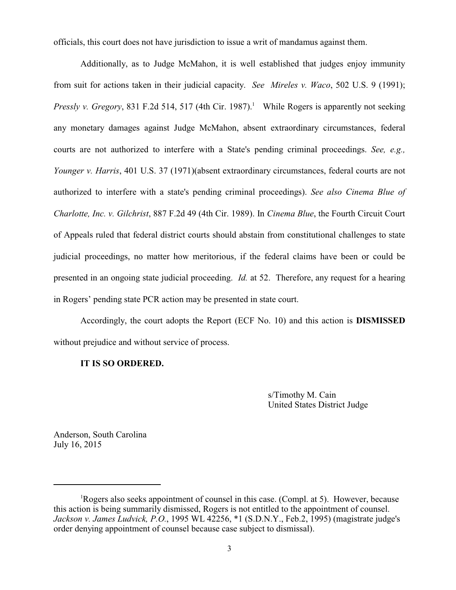officials, this court does not have jurisdiction to issue a writ of mandamus against them.

Additionally, as to Judge McMahon, it is well established that judges enjoy immunity from suit for actions taken in their judicial capacity. *See Mireles v. Waco*, 502 U.S. 9 (1991); *Pressly v. Gregory*, 831 F.2d 514, 517 (4th Cir. 1987).<sup>1</sup> While Rogers is apparently not seeking any monetary damages against Judge McMahon, absent extraordinary circumstances, federal courts are not authorized to interfere with a State's pending criminal proceedings. *See, e.g., Younger v. Harris*, 401 U.S. 37 (1971)(absent extraordinary circumstances, federal courts are not authorized to interfere with a state's pending criminal proceedings). *See also Cinema Blue of Charlotte, Inc. v. Gilchrist*, 887 F.2d 49 (4th Cir. 1989). In *Cinema Blue*, the Fourth Circuit Court of Appeals ruled that federal district courts should abstain from constitutional challenges to state judicial proceedings, no matter how meritorious, if the federal claims have been or could be presented in an ongoing state judicial proceeding. *Id.* at 52. Therefore, any request for a hearing in Rogers' pending state PCR action may be presented in state court.

Accordingly, the court adopts the Report (ECF No. 10) and this action is **DISMISSED** without prejudice and without service of process.

## **IT IS SO ORDERED.**

s/Timothy M. Cain United States District Judge

Anderson, South Carolina July 16, 2015

<sup>&</sup>lt;sup>1</sup>Rogers also seeks appointment of counsel in this case. (Compl. at 5). However, because this action is being summarily dismissed, Rogers is not entitled to the appointment of counsel. *Jackson v. James Ludvick, P.O.*, 1995 WL 42256, \*1 (S.D.N.Y., Feb.2, 1995) (magistrate judge's order denying appointment of counsel because case subject to dismissal).